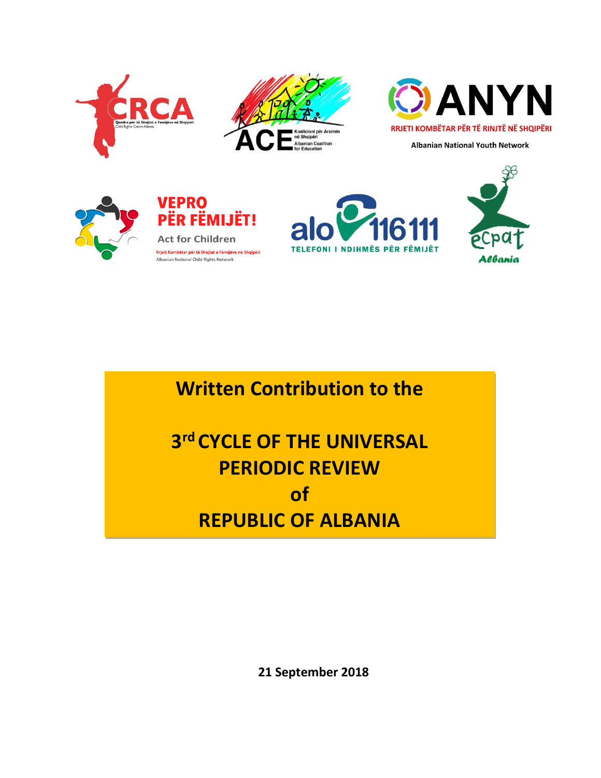





**Albanian National Youth Network** 







**Written Contribution to the** 

**3 rd CYCLE OF THE UNIVERSAL PERIODIC REVIEW of REPUBLIC OF ALBANIA**

**21 September 2018**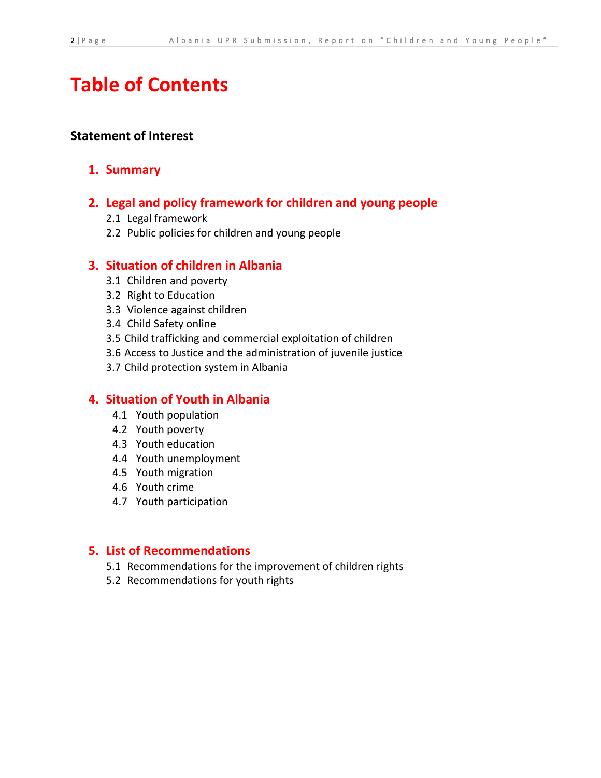# **Table of Contents**

### **Statement of Interest**

### **1. Summary**

### **2. Legal and policy framework for children and young people**

- 2.1 Legal framework
- 2.2 Public policies for children and young people

### **3. Situation of children in Albania**

- 3.1 Children and poverty
- 3.2 Right to Education
- 3.3 Violence against children
- 3.4 Child Safety online
- 3.5 Child trafficking and commercial exploitation of children
- 3.6 Access to Justice and the administration of juvenile justice
- 3.7 Child protection system in Albania

### **4. Situation of Youth in Albania**

- 4.1 Youth population
- 4.2 Youth poverty
- 4.3 Youth education
- 4.4 Youth unemployment
- 4.5 Youth migration
- 4.6 Youth crime
- 4.7 Youth participation

### **5. List of Recommendations**

- 5.1 Recommendations for the improvement of children rights
- 5.2 Recommendations for youth rights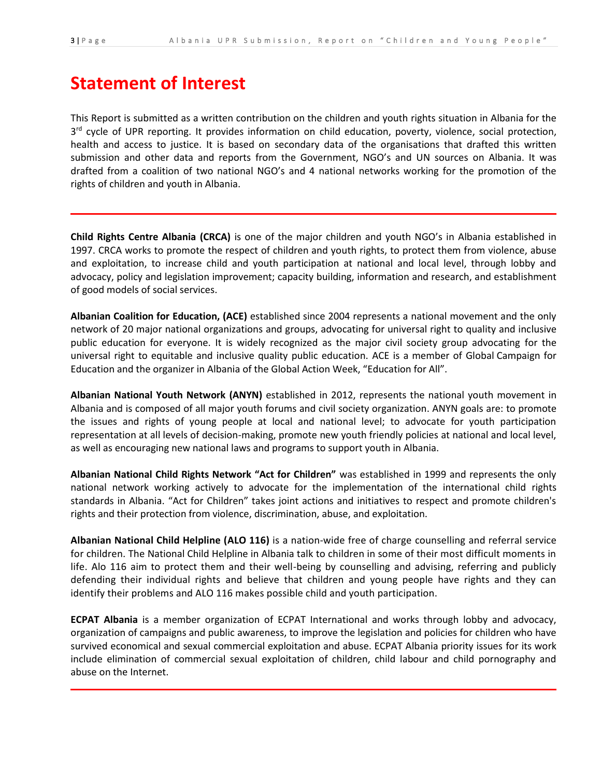# **Statement of Interest**

This Report is submitted as a written contribution on the children and youth rights situation in Albania for the 3<sup>rd</sup> cycle of UPR reporting. It provides information on child education, poverty, violence, social protection, health and access to justice. It is based on secondary data of the organisations that drafted this written submission and other data and reports from the Government, NGO's and UN sources on Albania. It was drafted from a coalition of two national NGO's and 4 national networks working for the promotion of the rights of children and youth in Albania.

**Child Rights Centre Albania (CRCA)** is one of the major children and youth NGO's in Albania established in 1997. CRCA works to promote the respect of children and youth rights, to protect them from violence, abuse and exploitation, to increase child and youth participation at national and local level, through lobby and advocacy, policy and legislation improvement; capacity building, information and research, and establishment of good models of social services.

**Albanian Coalition for Education, (ACE)** established since 2004 represents a national movement and the only network of 20 major national organizations and groups, advocating for universal right to quality and inclusive public education for everyone. It is widely recognized as the major civil society group advocating for the universal right to equitable and inclusive quality public education. ACE is a member of Global Campaign for Education and the organizer in Albania of the Global Action Week, "Education for All".

**Albanian National Youth Network (ANYN)** established in 2012, represents the national youth movement in Albania and is composed of all major youth forums and civil society organization. ANYN goals are: to promote the issues and rights of young people at local and national level; to advocate for youth participation representation at all levels of decision-making, promote new youth friendly policies at national and local level, as well as encouraging new national laws and programs to support youth in Albania.

**Albanian National Child Rights Network "Act for Children"** was established in 1999 and represents the only national network working actively to advocate for the implementation of the international child rights standards in Albania. "Act for Children" takes joint actions and initiatives to respect and promote children's rights and their protection from violence, discrimination, abuse, and exploitation.

**Albanian National Child Helpline (ALO 116)** is a nation-wide free of charge counselling and referral service for children. The National Child Helpline in Albania talk to children in some of their most difficult moments in life. Alo 116 aim to protect them and their well-being by counselling and advising, referring and publicly defending their individual rights and believe that children and young people have rights and they can identify their problems and ALO 116 makes possible child and youth participation.

**ECPAT Albania** is a member organization of ECPAT International and works through lobby and advocacy, organization of campaigns and public awareness, to improve the legislation and policies for children who have survived economical and sexual commercial exploitation and abuse. ECPAT Albania priority issues for its work include elimination of commercial sexual exploitation of children, child labour and child pornography and abuse on the Internet.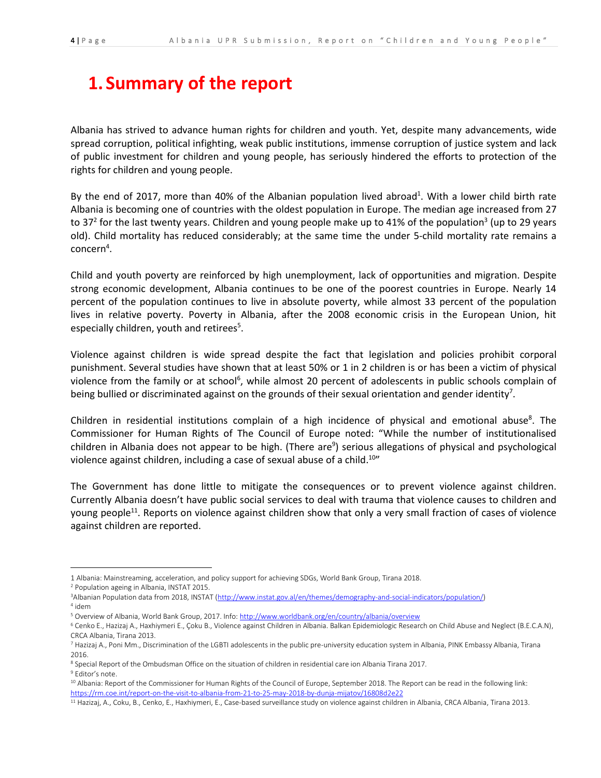# **1. Summary of the report**

Albania has strived to advance human rights for children and youth. Yet, despite many advancements, wide spread corruption, political infighting, weak public institutions, immense corruption of justice system and lack of public investment for children and young people, has seriously hindered the efforts to protection of the rights for children and young people.

By the end of 2017, more than 40% of the Albanian population lived abroad<sup>1</sup>. With a lower child birth rate Albania is becoming one of countries with the oldest population in Europe. The median age increased from 27 to 37<sup>2</sup> for the last twenty years. Children and young people make up to 41% of the population<sup>3</sup> (up to 29 years old). Child mortality has reduced considerably; at the same time the under 5-child mortality rate remains a  $\mathsf{concern}^4.$ 

Child and youth poverty are reinforced by high unemployment, lack of opportunities and migration. Despite strong economic development, Albania continues to be one of the poorest countries in Europe. Nearly 14 percent of the population continues to live in absolute poverty, while almost 33 percent of the population lives in relative poverty. Poverty in Albania, after the 2008 economic crisis in the European Union, hit especially children, youth and retirees<sup>5</sup>.

Violence against children is wide spread despite the fact that legislation and policies prohibit corporal punishment. Several studies have shown that at least 50% or 1 in 2 children is or has been a victim of physical violence from the family or at school<sup>6</sup>, while almost 20 percent of adolescents in public schools complain of being bullied or discriminated against on the grounds of their sexual orientation and gender identity<sup>7</sup>.

Children in residential institutions complain of a high incidence of physical and emotional abuse<sup>8</sup>. The Commissioner for Human Rights of The Council of Europe noted: "While the number of institutionalised children in Albania does not appear to be high. (There are<sup>9</sup>) serious allegations of physical and psychological violence against children, including a case of sexual abuse of a child.<sup>10</sup>"

The Government has done little to mitigate the consequences or to prevent violence against children. Currently Albania doesn't have public social services to deal with trauma that violence causes to children and young people<sup>11</sup>. Reports on violence against children show that only a very small fraction of cases of violence against children are reported.

<sup>1</sup> Albania: Mainstreaming, acceleration, and policy support for achieving SDGs, World Bank Group, Tirana 2018.

<sup>2</sup> Population ageing in Albania, INSTAT 2015.

<sup>3</sup>Albanian Population data from 2018, INSTAT [\(http://www.instat.gov.al/en/themes/demography-and-social-indicators/population/\)](http://www.instat.gov.al/en/themes/demography-and-social-indicators/population/) 4 idem

<sup>&</sup>lt;sup>5</sup> Overview of Albania, World Bank Group, 2017. Info[: http://www.worldbank.org/en/country/albania/overview](http://www.worldbank.org/en/country/albania/overview)

<sup>6</sup> Cenko E., Hazizaj A., Haxhiymeri E., Çoku B., Violence against Children in Albania. Balkan Epidemiologic Research on Child Abuse and Neglect (B.E.C.A.N), CRCA Albania, Tirana 2013.

<sup>&</sup>lt;sup>7</sup> Hazizaj A., Poni Mm., Discrimination of the LGBTI adolescents in the public pre-university education system in Albania, PINK Embassy Albania, Tirana 2016.

<sup>&</sup>lt;sup>8</sup> Special Report of the Ombudsman Office on the situation of children in residential care ion Albania Tirana 2017.

<sup>&</sup>lt;sup>9</sup> Editor's note.

<sup>&</sup>lt;sup>10</sup> Albania: Report of the Commissioner for Human Rights of the Council of Europe, September 2018. The Report can be read in the following link: <https://rm.coe.int/report-on-the-visit-to-albania-from-21-to-25-may-2018-by-dunja-mijatov/16808d2e22>

<sup>&</sup>lt;sup>11</sup> Hazizaj, A., Coku, B., Cenko, E., Haxhiymeri, E., Case-based surveillance study on violence against children in Albania, CRCA Albania, Tirana 2013.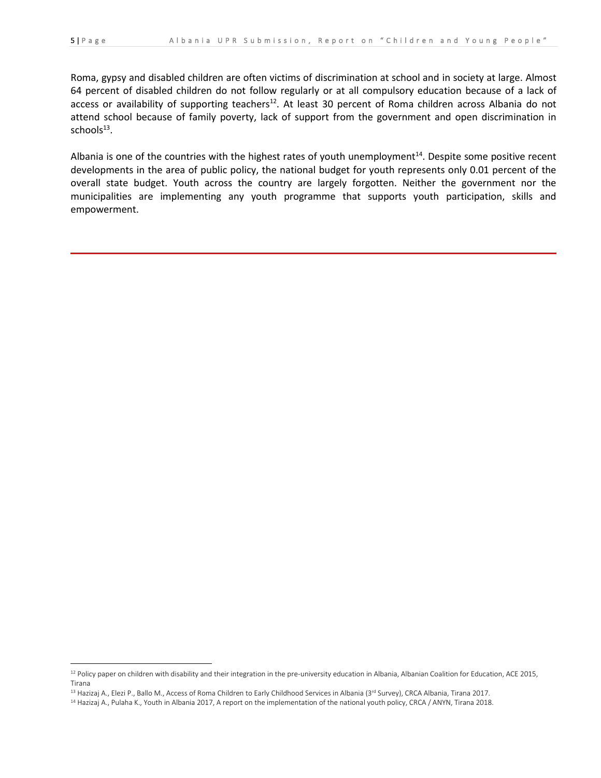l

Roma, gypsy and disabled children are often victims of discrimination at school and in society at large. Almost 64 percent of disabled children do not follow regularly or at all compulsory education because of a lack of access or availability of supporting teachers<sup>12</sup>. At least 30 percent of Roma children across Albania do not attend school because of family poverty, lack of support from the government and open discrimination in  $s$ chool $s^{13}$ .

Albania is one of the countries with the highest rates of youth unemployment<sup>14</sup>. Despite some positive recent developments in the area of public policy, the national budget for youth represents only 0.01 percent of the overall state budget. Youth across the country are largely forgotten. Neither the government nor the municipalities are implementing any youth programme that supports youth participation, skills and empowerment.

<sup>&</sup>lt;sup>12</sup> Policy paper on children with disability and their integration in the pre-university education in Albania, Albanian Coalition for Education, ACE 2015, Tirana

<sup>13</sup> Hazizaj A., Elezi P., Ballo M., Access of Roma Children to Early Childhood Services in Albania (3rd Survey), CRCA Albania, Tirana 2017.

<sup>&</sup>lt;sup>14</sup> Hazizaj A., Pulaha K., Youth in Albania 2017, A report on the implementation of the national youth policy, CRCA / ANYN, Tirana 2018.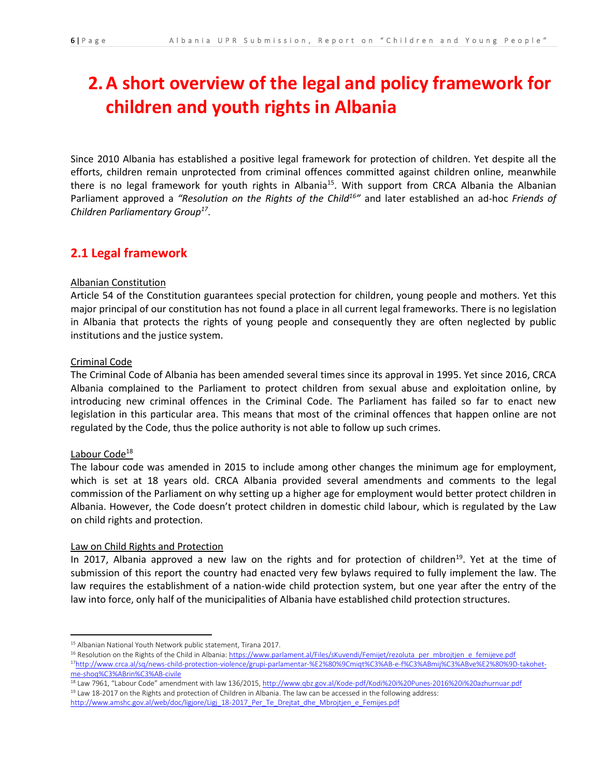# **2.A short overview of the legal and policy framework for children and youth rights in Albania**

Since 2010 Albania has established a positive legal framework for protection of children. Yet despite all the efforts, children remain unprotected from criminal offences committed against children online, meanwhile there is no legal framework for youth rights in Albania<sup>15</sup>. With support from CRCA Albania the Albanian Parliament approved a *"Resolution on the Rights of the Child<sup>16</sup> "* and later established an ad-hoc *Friends of Children Parliamentary Group<sup>17</sup>* .

## **2.1 Legal framework**

### Albanian Constitution

Article 54 of the Constitution guarantees special protection for children, young people and mothers. Yet this major principal of our constitution has not found a place in all current legal frameworks. There is no legislation in Albania that protects the rights of young people and consequently they are often neglected by public institutions and the justice system.

#### Criminal Code

The Criminal Code of Albania has been amended several times since its approval in 1995. Yet since 2016, CRCA Albania complained to the Parliament to protect children from sexual abuse and exploitation online, by introducing new criminal offences in the Criminal Code. The Parliament has failed so far to enact new legislation in this particular area. This means that most of the criminal offences that happen online are not regulated by the Code, thus the police authority is not able to follow up such crimes.

### Labour Code<sup>18</sup>

 $\overline{a}$ 

The labour code was amended in 2015 to include among other changes the minimum age for employment, which is set at 18 years old. CRCA Albania provided several amendments and comments to the legal commission of the Parliament on why setting up a higher age for employment would better protect children in Albania. However, the Code doesn't protect children in domestic child labour, which is regulated by the Law on child rights and protection.

### Law on Child Rights and Protection

In 2017, Albania approved a new law on the rights and for protection of children<sup>19</sup>. Yet at the time of submission of this report the country had enacted very few bylaws required to fully implement the law. The law requires the establishment of a nation-wide child protection system, but one year after the entry of the law into force, only half of the municipalities of Albania have established child protection structures.

<sup>15</sup> Albanian National Youth Network public statement, Tirana 2017.

<sup>16</sup> Resolution on the Rights of the Child in Albania[: https://www.parlament.al/Files/sKuvendi/Femijet/rezoluta\\_per\\_mbrojtjen\\_e\\_femijeve.pdf](https://www.parlament.al/Files/sKuvendi/Femijet/rezoluta_per_mbrojtjen_e_femijeve.pdf) 17[http://www.crca.al/sq/news-child-protection-violence/grupi-parlamentar-%E2%80%9Cmiqt%C3%AB-e-f%C3%ABmij%C3%ABve%E2%80%9D-takohet](http://www.crca.al/sq/news-child-protection-violence/grupi-parlamentar-%E2%80%9Cmiqt%C3%AB-e-f%C3%ABmij%C3%ABve%E2%80%9D-takohet-me-shoq%C3%ABrin%C3%AB-civile)[me-shoq%C3%ABrin%C3%AB-civile](http://www.crca.al/sq/news-child-protection-violence/grupi-parlamentar-%E2%80%9Cmiqt%C3%AB-e-f%C3%ABmij%C3%ABve%E2%80%9D-takohet-me-shoq%C3%ABrin%C3%AB-civile)

<sup>18</sup> Law 7961, "Labour Code" amendment with law 136/2015, <http://www.qbz.gov.al/Kode-pdf/Kodi%20i%20Punes-2016%20i%20azhurnuar.pdf> <sup>19</sup> Law 18-2017 on the Rights and protection of Children in Albania. The law can be accessed in the following address: http://www.amshc.gov.al/web/doc/ligjore/Ligi\_18-2017\_Per\_Te\_Drejtat\_dhe\_Mbrojtjen\_e\_Femijes.pdf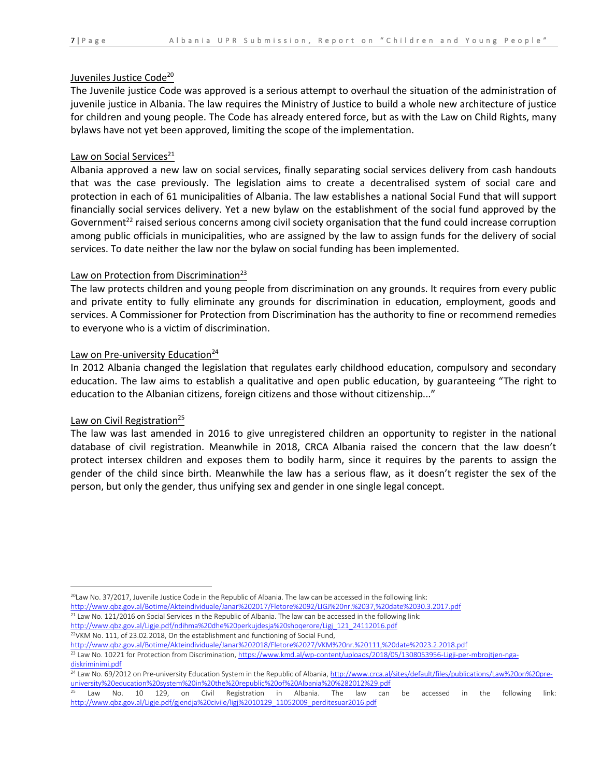#### Juveniles Justice Code<sup>20</sup>

The Juvenile justice Code was approved is a serious attempt to overhaul the situation of the administration of juvenile justice in Albania. The law requires the Ministry of Justice to build a whole new architecture of justice for children and young people. The Code has already entered force, but as with the Law on Child Rights, many bylaws have not yet been approved, limiting the scope of the implementation.

#### Law on Social Services $^{21}$

Albania approved a new law on social services, finally separating social services delivery from cash handouts that was the case previously. The legislation aims to create a decentralised system of social care and protection in each of 61 municipalities of Albania. The law establishes a national Social Fund that will support financially social services delivery. Yet a new bylaw on the establishment of the social fund approved by the Government<sup>22</sup> raised serious concerns among civil society organisation that the fund could increase corruption among public officials in municipalities, who are assigned by the law to assign funds for the delivery of social services. To date neither the law nor the bylaw on social funding has been implemented.

#### Law on Protection from Discrimination<sup>23</sup>

The law protects children and young people from discrimination on any grounds. It requires from every public and private entity to fully eliminate any grounds for discrimination in education, employment, goods and services. A Commissioner for Protection from Discrimination has the authority to fine or recommend remedies to everyone who is a victim of discrimination.

#### Law on Pre-university Education<sup>24</sup>

In 2012 Albania changed the legislation that regulates early childhood education, compulsory and secondary education. The law aims to establish a qualitative and open public education, by guaranteeing "The right to education to the Albanian citizens, foreign citizens and those without citizenship..."

#### Law on Civil Registration<sup>25</sup>

 $\overline{\phantom{a}}$ 

The law was last amended in 2016 to give unregistered children an opportunity to register in the national database of civil registration. Meanwhile in 2018, CRCA Albania raised the concern that the law doesn't protect intersex children and exposes them to bodily harm, since it requires by the parents to assign the gender of the child since birth. Meanwhile the law has a serious flaw, as it doesn't register the sex of the person, but only the gender, thus unifying sex and gender in one single legal concept.

 $^{20}$ Law No. 37/2017, Juvenile Justice Code in the Republic of Albania. The law can be accessed in the following link: <http://www.qbz.gov.al/Botime/Akteindividuale/Janar%202017/Fletore%2092/LIGJ%20nr.%2037,%20date%2030.3.2017.pdf>

<sup>&</sup>lt;sup>21</sup> Law No. 121/2016 on Social Services in the Republic of Albania. The law can be accessed in the following link: [http://www.qbz.gov.al/Ligje.pdf/ndihma%20dhe%20perkujdesja%20shoqerore/Ligj\\_121\\_24112016.pdf](http://www.qbz.gov.al/Ligje.pdf/ndihma%20dhe%20perkujdesja%20shoqerore/Ligj_121_24112016.pdf) <sup>22</sup>VKM No. 111, of 23.02.2018, On the establishment and functioning of Social Fund,

<http://www.qbz.gov.al/Botime/Akteindividuale/Janar%202018/Fletore%2027/VKM%20nr.%20111,%20date%2023.2.2018.pdf>

<sup>&</sup>lt;sup>23</sup> Law No. 10221 for Protection from Discrimination, [https://www.kmd.al/wp-content/uploads/2018/05/1308053956-Ligji-per-mbrojtjen-nga](https://www.kmd.al/wp-content/uploads/2018/05/1308053956-Ligji-per-mbrojtjen-nga-diskriminimi.pdf)[diskriminimi.pdf](https://www.kmd.al/wp-content/uploads/2018/05/1308053956-Ligji-per-mbrojtjen-nga-diskriminimi.pdf)

<sup>&</sup>lt;sup>24</sup> Law No. 69/2012 on Pre-university Education System in the Republic of Albania[, http://www.crca.al/sites/default/files/publications/Law%20on%20pre](http://www.crca.al/sites/default/files/publications/Law%20on%20pre-university%20education%20system%20in%20the%20republic%20of%20Albania%20%282012%29.pdf)[university%20education%20system%20in%20the%20republic%20of%20Albania%20%282012%29.pdf](http://www.crca.al/sites/default/files/publications/Law%20on%20pre-university%20education%20system%20in%20the%20republic%20of%20Albania%20%282012%29.pdf)

<sup>&</sup>lt;sup>25</sup> Law No. 10 129, on Civil Registration in Albania. The law can be accessed in the following link: [http://www.qbz.gov.al/Ligje.pdf/gjendja%20civile/ligj%2010129\\_11052009\\_perditesuar2016.pdf](http://www.qbz.gov.al/Ligje.pdf/gjendja%20civile/ligj%2010129_11052009_perditesuar2016.pdf)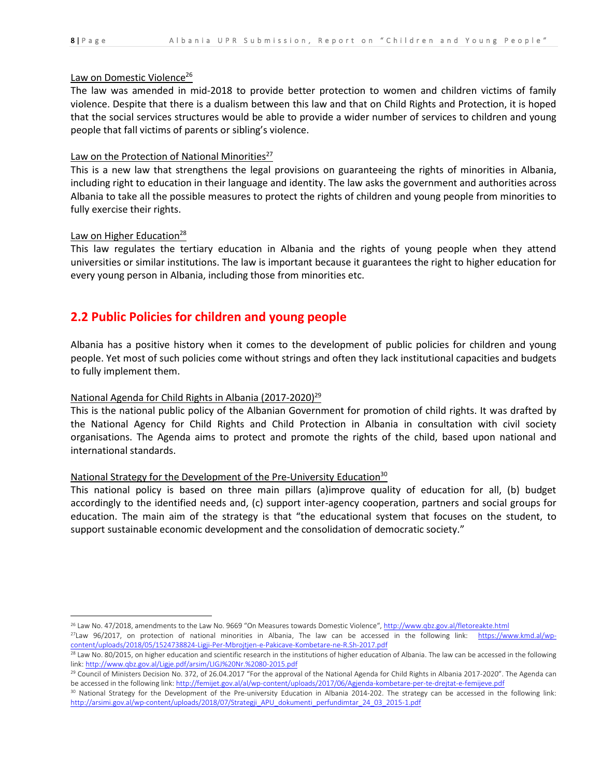l

#### Law on Domestic Violence<sup>26</sup>

The law was amended in mid-2018 to provide better protection to women and children victims of family violence. Despite that there is a dualism between this law and that on Child Rights and Protection, it is hoped that the social services structures would be able to provide a wider number of services to children and young people that fall victims of parents or sibling's violence.

### Law on the Protection of National Minorities $^{27}$

This is a new law that strengthens the legal provisions on guaranteeing the rights of minorities in Albania, including right to education in their language and identity. The law asks the government and authorities across Albania to take all the possible measures to protect the rights of children and young people from minorities to fully exercise their rights.

#### Law on Higher Education<sup>28</sup>

This law regulates the tertiary education in Albania and the rights of young people when they attend universities or similar institutions. The law is important because it guarantees the right to higher education for every young person in Albania, including those from minorities etc.

### **2.2 Public Policies for children and young people**

Albania has a positive history when it comes to the development of public policies for children and young people. Yet most of such policies come without strings and often they lack institutional capacities and budgets to fully implement them.

### National Agenda for Child Rights in Albania (2017-2020)<sup>29</sup>

This is the national public policy of the Albanian Government for promotion of child rights. It was drafted by the National Agency for Child Rights and Child Protection in Albania in consultation with civil society organisations. The Agenda aims to protect and promote the rights of the child, based upon national and international standards.

### National Strategy for the Development of the Pre-University Education<sup>30</sup>

This national policy is based on three main pillars (a)improve quality of education for all, (b) budget accordingly to the identified needs and, (c) support inter-agency cooperation, partners and social groups for education. The main aim of the strategy is that "the educational system that focuses on the student, to support sustainable economic development and the consolidation of democratic society."

<sup>&</sup>lt;sup>26</sup> Law No. 47/2018, amendments to the Law No. 9669 "On Measures towards Domestic Violence", <http://www.qbz.gov.al/fletoreakte.html>

 $^{27}$ Law 96/2017, on protection of national minorities in Albania, The law can be accessed in the following link: [https://www.kmd.al/wp](https://www.kmd.al/wp-content/uploads/2018/05/1524738824-Ligji-Per-Mbrojtjen-e-Pakicave-Kombetare-ne-R.Sh-2017.pdf)[content/uploads/2018/05/1524738824-Ligji-Per-Mbrojtjen-e-Pakicave-Kombetare-ne-R.Sh-2017.pdf](https://www.kmd.al/wp-content/uploads/2018/05/1524738824-Ligji-Per-Mbrojtjen-e-Pakicave-Kombetare-ne-R.Sh-2017.pdf)

<sup>&</sup>lt;sup>28</sup> Law No. 80/2015, on higher education and scientific research in the institutions of higher education of Albania. The law can be accessed in the following link: <http://www.qbz.gov.al/Ligje.pdf/arsim/LIGJ%20Nr.%2080-2015.pdf>

<sup>&</sup>lt;sup>29</sup> Council of Ministers Decision No. 372, of 26.04.2017 "For the approval of the National Agenda for Child Rights in Albania 2017-2020". The Agenda can be accessed in the following link[: http://femijet.gov.al/al/wp-content/uploads/2017/06/Agjenda-kombetare-per-te-drejtat-e-femijeve.pdf](http://femijet.gov.al/al/wp-content/uploads/2017/06/Agjenda-kombetare-per-te-drejtat-e-femijeve.pdf)

<sup>30</sup> National Strategy for the Development of the Pre-university Education in Albania 2014-202. The strategy can be accessed in the following link: [http://arsimi.gov.al/wp-content/uploads/2018/07/Strategji\\_APU\\_dokumenti\\_perfundimtar\\_24\\_03\\_2015-1.pdf](http://arsimi.gov.al/wp-content/uploads/2018/07/Strategji_APU_dokumenti_perfundimtar_24_03_2015-1.pdf)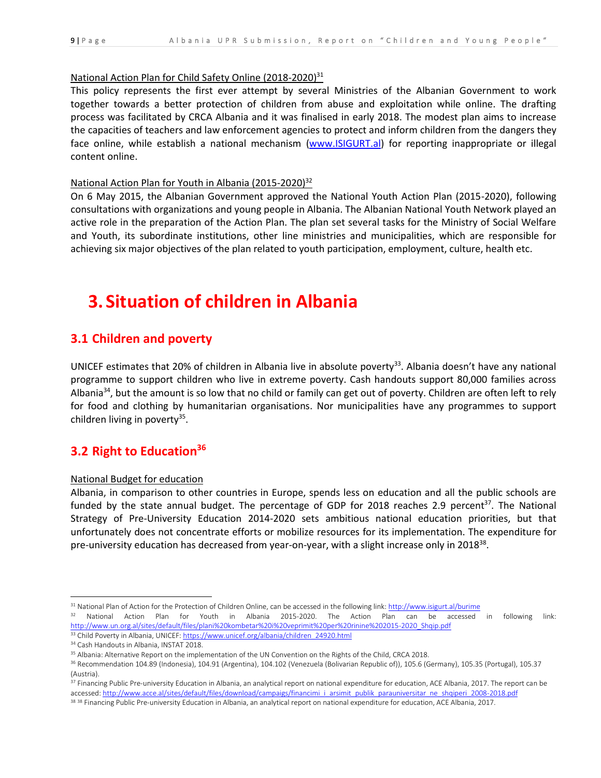#### National Action Plan for Child Safety Online (2018-2020)<sup>31</sup>

This policy represents the first ever attempt by several Ministries of the Albanian Government to work together towards a better protection of children from abuse and exploitation while online. The drafting process was facilitated by CRCA Albania and it was finalised in early 2018. The modest plan aims to increase the capacities of teachers and law enforcement agencies to protect and inform children from the dangers they face online, while establish a national mechanism [\(www.ISIGURT.al\)](http://www.isigurt.al/) for reporting inappropriate or illegal content online.

#### National Action Plan for Youth in Albania (2015-2020)<sup>32</sup>

On 6 May 2015, the Albanian Government approved the National Youth Action Plan (2015-2020), following consultations with organizations and young people in Albania. The Albanian National Youth Network played an active role in the preparation of the Action Plan. The plan set several tasks for the Ministry of Social Welfare and Youth, its subordinate institutions, other line ministries and municipalities, which are responsible for achieving six major objectives of the plan related to youth participation, employment, culture, health etc.

# **3. Situation of children in Albania**

### **3.1 Children and poverty**

UNICEF estimates that 20% of children in Albania live in absolute poverty<sup>33</sup>. Albania doesn't have any national programme to support children who live in extreme poverty. Cash handouts support 80,000 families across Albania<sup>34</sup>, but the amount is so low that no child or family can get out of poverty. Children are often left to rely for food and clothing by humanitarian organisations. Nor municipalities have any programmes to support children living in poverty<sup>35</sup>.

## **3.2 Right to Education<sup>36</sup>**

#### National Budget for education

Albania, in comparison to other countries in Europe, spends less on education and all the public schools are funded by the state annual budget. The percentage of GDP for 2018 reaches 2.9 percent<sup>37</sup>. The National Strategy of Pre-University Education 2014-2020 sets ambitious national education priorities, but that unfortunately does not concentrate efforts or mobilize resources for its implementation. The expenditure for pre-university education has decreased from year-on-year, with a slight increase only in 2018<sup>38</sup>.

<sup>&</sup>lt;sup>31</sup> National Plan of Action for the Protection of Children Online, can be accessed in the following link:<http://www.isigurt.al/burime>

<sup>&</sup>lt;sup>32</sup> National Action Plan for Youth in Albania 2015-2020. The Action Plan can be accessed in following link: [http://www.un.org.al/sites/default/files/plani%20kombetar%20i%20veprimit%20per%20rinine%202015-2020\\_Shqip.pdf](http://www.un.org.al/sites/default/files/plani%20kombetar%20i%20veprimit%20per%20rinine%202015-2020_Shqip.pdf)

<sup>33</sup> Child Poverty in Albania, UNICEF[: https://www.unicef.org/albania/children\\_24920.html](https://www.unicef.org/albania/children_24920.html)

<sup>&</sup>lt;sup>34</sup> Cash Handouts in Albania, INSTAT 2018.

<sup>35</sup> Albania: Alternative Report on the implementation of the UN Convention on the Rights of the Child, CRCA 2018.

<sup>&</sup>lt;sup>36</sup> Recommendation 104.89 (Indonesia), 104.91 (Argentina), 104.102 (Venezuela (Bolivarian Republic of)), 105.6 (Germany), 105.35 (Portugal), 105.37 (Austria).

<sup>37</sup> Financing Public Pre-university Education in Albania, an analytical report on national expenditure for education, ACE Albania, 2017. The report can be accessed[: http://www.acce.al/sites/default/files/download/campaigs/financimi\\_i\\_arsimit\\_publik\\_parauniversitar\\_ne\\_shqiperi\\_2008-2018.pdf](http://www.acce.al/sites/default/files/download/campaigs/financimi_i_arsimit_publik_parauniversitar_ne_shqiperi_2008-2018.pdf)

<sup>&</sup>lt;sup>38 38</sup> Financing Public Pre-university Education in Albania, an analytical report on national expenditure for education, ACE Albania, 2017.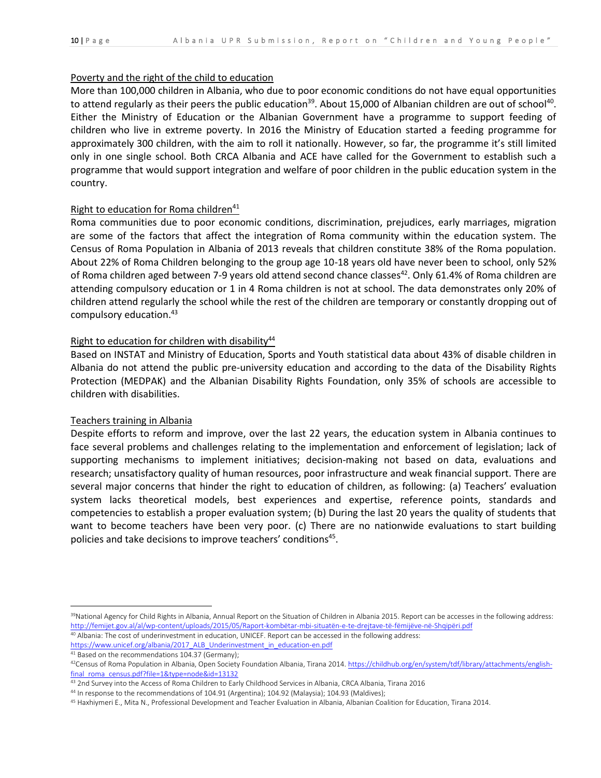#### Poverty and the right of the child to education

More than 100,000 children in Albania, who due to poor economic conditions do not have equal opportunities to attend regularly as their peers the public education<sup>39</sup>. About 15,000 of Albanian children are out of school<sup>40</sup>. Either the Ministry of Education or the Albanian Government have a programme to support feeding of children who live in extreme poverty. In 2016 the Ministry of Education started a feeding programme for approximately 300 children, with the aim to roll it nationally. However, so far, the programme it's still limited only in one single school. Both CRCA Albania and ACE have called for the Government to establish such a programme that would support integration and welfare of poor children in the public education system in the country.

### Right to education for Roma children<sup>41</sup>

Roma communities due to poor economic conditions, discrimination, prejudices, early marriages, migration are some of the factors that affect the integration of Roma community within the education system. The Census of Roma Population in Albania of 2013 reveals that children constitute 38% of the Roma population. About 22% of Roma Children belonging to the group age 10-18 years old have never been to school, only 52% of Roma children aged between 7-9 years old attend second chance classes<sup>42</sup>. Only 61.4% of Roma children are attending compulsory education or 1 in 4 Roma children is not at school. The data demonstrates only 20% of children attend regularly the school while the rest of the children are temporary or constantly dropping out of compulsory education. 43

#### Right to education for children with disability $44$

Based on INSTAT and Ministry of Education, Sports and Youth statistical data about 43% of disable children in Albania do not attend the public pre-university education and according to the data of the Disability Rights Protection (MEDPAK) and the Albanian Disability Rights Foundation, only 35% of schools are accessible to children with disabilities.

#### Teachers training in Albania

Despite efforts to reform and improve, over the last 22 years, the education system in Albania continues to face several problems and challenges relating to the implementation and enforcement of legislation; lack of supporting mechanisms to implement initiatives; decision-making not based on data, evaluations and research; unsatisfactory quality of human resources, poor infrastructure and weak financial support. There are several major concerns that hinder the right to education of children, as following: (a) Teachers' evaluation system lacks theoretical models, best experiences and expertise, reference points, standards and competencies to establish a proper evaluation system; (b) During the last 20 years the quality of students that want to become teachers have been very poor. (c) There are no nationwide evaluations to start building policies and take decisions to improve teachers' conditions<sup>45</sup>.

<sup>&</sup>lt;sup>39</sup>National Agency for Child Rights in Albania, Annual Report on the Situation of Children in Albania 2015. Report can be accesses in the following address: <http://femijet.gov.al/al/wp-content/uploads/2015/05/Raport-kombëtar-mbi-situatën-e-te-drejtave-të-fëmijëve-në-Shqipëri.pdf>

<sup>40</sup> Albania: The cost of underinvestment in education, UNICEF. Report can be accessed in the following address: [https://www.unicef.org/albania/2017\\_ALB\\_Underinvestment\\_in\\_education-en.pdf](https://www.unicef.org/albania/2017_ALB_Underinvestment_in_education-en.pdf)

<sup>41</sup> Based on the recommendations 104.37 (Germany);

<sup>&</sup>lt;sup>42</sup>Census of Roma Population in Albania, Open Society Foundation Albania, Tirana 2014[. https://childhub.org/en/system/tdf/library/attachments/english](https://childhub.org/en/system/tdf/library/attachments/english-final_roma_census.pdf?file=1&type=node&id=13132)[final\\_roma\\_census.pdf?file=1&type=node&id=13132](https://childhub.org/en/system/tdf/library/attachments/english-final_roma_census.pdf?file=1&type=node&id=13132)

<sup>&</sup>lt;sup>43</sup> 2nd Survey into the Access of Roma Children to Early Childhood Services in Albania, CRCA Albania, Tirana 2016

<sup>44</sup> In response to the recommendations of 104.91 (Argentina); 104.92 (Malaysia); 104.93 (Maldives);

<sup>45</sup> Haxhiymeri E., Mita N., Professional Development and Teacher Evaluation in Albania, Albanian Coalition for Education, Tirana 2014.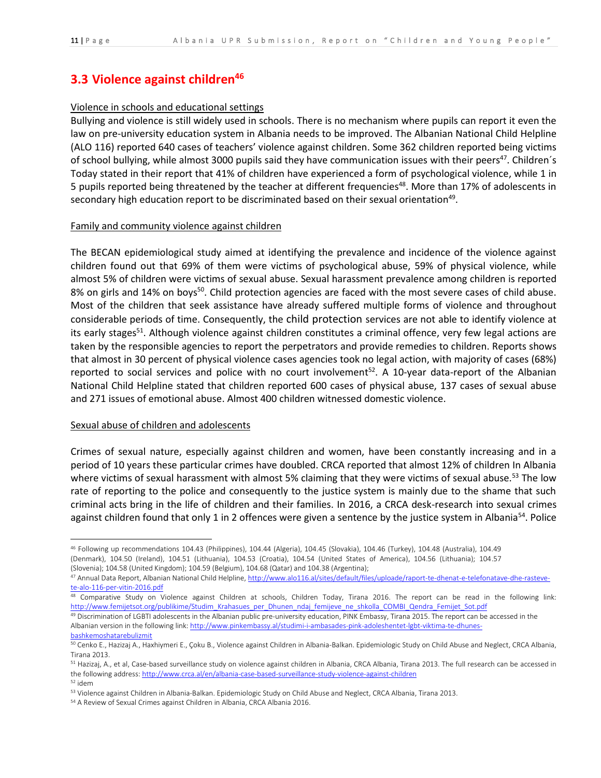## **3.3 Violence against children<sup>46</sup>**

### Violence in schools and educational settings

Bullying and violence is still widely used in schools. There is no mechanism where pupils can report it even the law on pre-university education system in Albania needs to be improved. The Albanian National Child Helpline (ALO 116) reported 640 cases of teachers' violence against children. Some 362 children reported being victims of school bullying, while almost 3000 pupils said they have communication issues with their peers<sup>47</sup>. Children's Today stated in their report that 41% of children have experienced a form of psychological violence, while 1 in 5 pupils reported being threatened by the teacher at different frequencies<sup>48</sup>. More than 17% of adolescents in secondary high education report to be discriminated based on their sexual orientation<sup>49</sup>.

#### Family and community violence against children

The BECAN epidemiological study aimed at identifying the prevalence and incidence of the violence against children found out that 69% of them were victims of psychological abuse, 59% of physical violence, while almost 5% of children were victims of sexual abuse. Sexual harassment prevalence among children is reported 8% on girls and 14% on boys<sup>50</sup>. Child protection agencies are faced with the most severe cases of child abuse. Most of the children that seek assistance have already suffered multiple forms of violence and throughout considerable periods of time. Consequently, the child protection services are not able to identify violence at its early stages<sup>51</sup>. Although violence against children constitutes a criminal offence, very few legal actions are taken by the responsible agencies to report the perpetrators and provide remedies to children. Reports shows that almost in 30 percent of physical violence cases agencies took no legal action, with majority of cases (68%) reported to social services and police with no court involvement<sup>52</sup>. A 10-year data-report of the Albanian National Child Helpline stated that children reported 600 cases of physical abuse, 137 cases of sexual abuse and 271 issues of emotional abuse. Almost 400 children witnessed domestic violence.

#### Sexual abuse of children and adolescents

 $\overline{\phantom{a}}$ 

Crimes of sexual nature, especially against children and women, have been constantly increasing and in a period of 10 years these particular crimes have doubled. CRCA reported that almost 12% of children In Albania where victims of sexual harassment with almost 5% claiming that they were victims of sexual abuse.<sup>53</sup> The low rate of reporting to the police and consequently to the justice system is mainly due to the shame that such criminal acts bring in the life of children and their families. In 2016, a CRCA desk-research into sexual crimes against children found that only 1 in 2 offences were given a sentence by the justice system in Albania<sup>54</sup>. Police

<sup>46</sup> Following up recommendations 104.43 (Philippines), 104.44 (Algeria), 104.45 (Slovakia), 104.46 (Turkey), 104.48 (Australia), 104.49 (Denmark), 104.50 (Ireland), 104.51 (Lithuania), 104.53 (Croatia), 104.54 (United States of America), 104.56 (Lithuania); 104.57 (Slovenia); 104.58 (United Kingdom); 104.59 (Belgium), 104.68 (Qatar) and 104.38 (Argentina);

<sup>47</sup> Annual Data Report, Albanian National Child Helpline[, http://www.alo116.al/sites/default/files/uploade/raport-te-dhenat-e-telefonatave-dhe-rasteve](http://www.alo116.al/sites/default/files/uploade/raport-te-dhenat-e-telefonatave-dhe-rasteve-te-alo-116-per-vitin-2016.pdf)[te-alo-116-per-vitin-2016.pdf](http://www.alo116.al/sites/default/files/uploade/raport-te-dhenat-e-telefonatave-dhe-rasteve-te-alo-116-per-vitin-2016.pdf)

<sup>48</sup> Comparative Study on Violence against Children at schools, Children Today, Tirana 2016. The report can be read in the following link: [http://www.femijetsot.org/publikime/Studim\\_Krahasues\\_per\\_Dhunen\\_ndaj\\_femijeve\\_ne\\_shkolla\\_COMBI\\_Qendra\\_Femijet\\_Sot.pdf](http://www.femijetsot.org/publikime/Studim_Krahasues_per_Dhunen_ndaj_femijeve_ne_shkolla_COMBI_Qendra_Femijet_Sot.pdf)

<sup>49</sup> Discrimination of LGBTI adolescents in the Albanian public pre-university education, PINK Embassy, Tirana 2015. The report can be accessed in the Albanian version in the following link[: http://www.pinkembassy.al/studimi-i-ambasades-pink-adoleshentet-lgbt-viktima-te-dhunes](http://www.pinkembassy.al/studimi-i-ambasades-pink-adoleshentet-lgbt-viktima-te-dhunes-bashkemoshatarebulizmit)[bashkemoshatarebulizmit](http://www.pinkembassy.al/studimi-i-ambasades-pink-adoleshentet-lgbt-viktima-te-dhunes-bashkemoshatarebulizmit)

<sup>50</sup> Cenko E., Hazizaj A., Haxhiymeri E., Çoku B., Violence against Children in Albania-Balkan. Epidemiologic Study on Child Abuse and Neglect, CRCA Albania, Tirana 2013.

<sup>&</sup>lt;sup>51</sup> Hazizaj, A., et al, Case-based surveillance study on violence against children in Albania, CRCA Albania, Tirana 2013. The full research can be accessed in the following address:<http://www.crca.al/en/albania-case-based-surveillance-study-violence-against-children> <sup>52</sup> idem

<sup>53</sup> Violence against Children in Albania-Balkan. Epidemiologic Study on Child Abuse and Neglect, CRCA Albania, Tirana 2013.

<sup>54</sup> A Review of Sexual Crimes against Children in Albania, CRCA Albania 2016.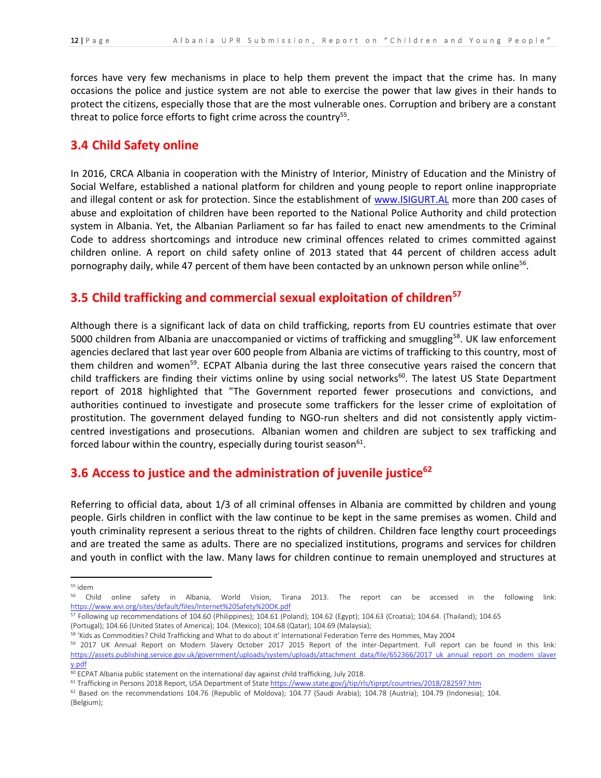forces have very few mechanisms in place to help them prevent the impact that the crime has. In many occasions the police and justice system are not able to exercise the power that law gives in their hands to protect the citizens, especially those that are the most vulnerable ones. Corruption and bribery are a constant threat to police force efforts to fight crime across the country<sup>55</sup>.

### **3.4 Child Safety online**

In 2016, CRCA Albania in cooperation with the Ministry of Interior, Ministry of Education and the Ministry of Social Welfare, established a national platform for children and young people to report online inappropriate and illegal content or ask for protection. Since the establishment of [www.ISIGURT.AL](http://www.isigurt.al/) more than 200 cases of abuse and exploitation of children have been reported to the National Police Authority and child protection system in Albania. Yet, the Albanian Parliament so far has failed to enact new amendments to the Criminal Code to address shortcomings and introduce new criminal offences related to crimes committed against children online. A report on child safety online of 2013 stated that 44 percent of children access adult pornography daily, while 47 percent of them have been contacted by an unknown person while online<sup>56</sup>.

## **3.5 Child trafficking and commercial sexual exploitation of children<sup>57</sup>**

Although there is a significant lack of data on child trafficking, reports from EU countries estimate that over 5000 children from Albania are unaccompanied or victims of trafficking and smuggling<sup>58</sup>. UK law enforcement agencies declared that last year over 600 people from Albania are victims of trafficking to this country, most of them children and women<sup>59</sup>. ECPAT Albania during the last three consecutive years raised the concern that child traffickers are finding their victims online by using social networks<sup>60</sup>. The latest US State Department report of 2018 highlighted that "The Government reported fewer prosecutions and convictions, and authorities continued to investigate and prosecute some traffickers for the lesser crime of exploitation of prostitution. The government delayed funding to NGO-run shelters and did not consistently apply victimcentred investigations and prosecutions. Albanian women and children are subject to sex trafficking and forced labour within the country, especially during tourist season<sup>61</sup>.

## **3.6 Access to justice and the administration of juvenile justice<sup>62</sup>**

Referring to official data, about 1/3 of all criminal offenses in Albania are committed by children and young people. Girls children in conflict with the law continue to be kept in the same premises as women. Child and youth criminality represent a serious threat to the rights of children. Children face lengthy court proceedings and are treated the same as adults. There are no specialized institutions, programs and services for children and youth in conflict with the law. Many laws for children continue to remain unemployed and structures at

<sup>55</sup> idem

<sup>&</sup>lt;sup>56</sup> Child online safety in Albania, World Vision, Tirana 2013. The report can be accessed in the following link: <https://www.wvi.org/sites/default/files/Internet%20Safety%20OK.pdf>

<sup>57</sup> Following up recommendations of 104.60 (Philippines); 104.61 (Poland); 104.62 (Egypt); 104.63 (Croatia); 104.64. (Thailand); 104.65 (Portugal); 104.66 (United States of America); 104. (Mexico); 104.68 (Qatar); 104.69 (Malaysia);

<sup>58</sup> 'Kids as Commodities? Child Trafficking and What to do about it' International Federation Terre des Hommes, May 2004

<sup>&</sup>lt;sup>59</sup> 2017 UK Annual Report on Modern Slavery October 2017 2015 Report of the Inter-Department. Full report can be found in this link: [https://assets.publishing.service.gov.uk/government/uploads/system/uploads/attachment\\_data/file/652366/2017\\_uk\\_annual\\_report\\_on\\_modern\\_slaver](https://assets.publishing.service.gov.uk/government/uploads/system/uploads/attachment_data/file/652366/2017_uk_annual_report_on_modern_slavery.pdf) [y.pdf](https://assets.publishing.service.gov.uk/government/uploads/system/uploads/attachment_data/file/652366/2017_uk_annual_report_on_modern_slavery.pdf)

<sup>60</sup> ECPAT Albania public statement on the international day against child trafficking, July 2018.

<sup>&</sup>lt;sup>61</sup> Trafficking in Persons 2018 Report, USA Department of Stat[e https://www.state.gov/j/tip/rls/tiprpt/countries/2018/282597.htm](https://www.state.gov/j/tip/rls/tiprpt/countries/2018/282597.htm)

 $62$  Based on the recommendations 104.76 (Republic of Moldova); 104.77 (Saudi Arabia); 104.78 (Austria); 104.79 (Indonesia); 104. (Belgium);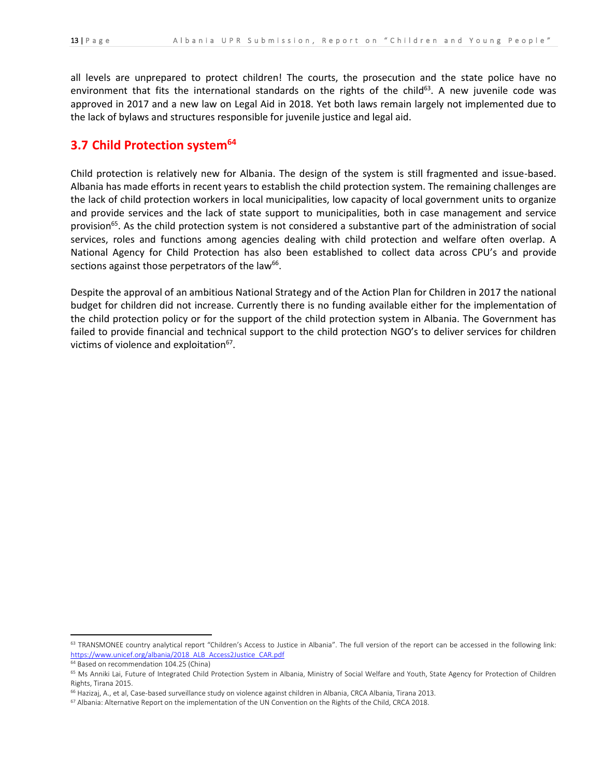all levels are unprepared to protect children! The courts, the prosecution and the state police have no environment that fits the international standards on the rights of the child<sup>63</sup>. A new juvenile code was approved in 2017 and a new law on Legal Aid in 2018. Yet both laws remain largely not implemented due to the lack of bylaws and structures responsible for juvenile justice and legal aid.

### **3.7 Child Protection system<sup>64</sup>**

Child protection is relatively new for Albania. The design of the system is still fragmented and issue-based. Albania has made efforts in recent years to establish the child protection system. The remaining challenges are the lack of child protection workers in local municipalities, low capacity of local government units to organize and provide services and the lack of state support to municipalities, both in case management and service provision<sup>65</sup>. As the child protection system is not considered a substantive part of the administration of social services, roles and functions among agencies dealing with child protection and welfare often overlap. A National Agency for Child Protection has also been established to collect data across CPU's and provide sections against those perpetrators of the law<sup>66</sup>.

Despite the approval of an ambitious National Strategy and of the Action Plan for Children in 2017 the national budget for children did not increase. Currently there is no funding available either for the implementation of the child protection policy or for the support of the child protection system in Albania. The Government has failed to provide financial and technical support to the child protection NGO's to deliver services for children victims of violence and exploitation<sup>67</sup>.

<sup>&</sup>lt;sup>63</sup> TRANSMONEE country analytical report "Children's Access to Justice in Albania". The full version of the report can be accessed in the following link: [https://www.unicef.org/albania/2018\\_ALB\\_Access2Justice\\_CAR.pdf](https://www.unicef.org/albania/2018_ALB_Access2Justice_CAR.pdf)

<sup>&</sup>lt;sup>64</sup> Based on recommendation 104.25 (China)

<sup>&</sup>lt;sup>65</sup> Ms Anniki Lai, Future of Integrated Child Protection System in Albania, Ministry of Social Welfare and Youth, State Agency for Protection of Children Rights, Tirana 2015.

<sup>&</sup>lt;sup>66</sup> Hazizaj, A., et al, Case-based surveillance study on violence against children in Albania, CRCA Albania, Tirana 2013.

<sup>67</sup> Albania: Alternative Report on the implementation of the UN Convention on the Rights of the Child, CRCA 2018.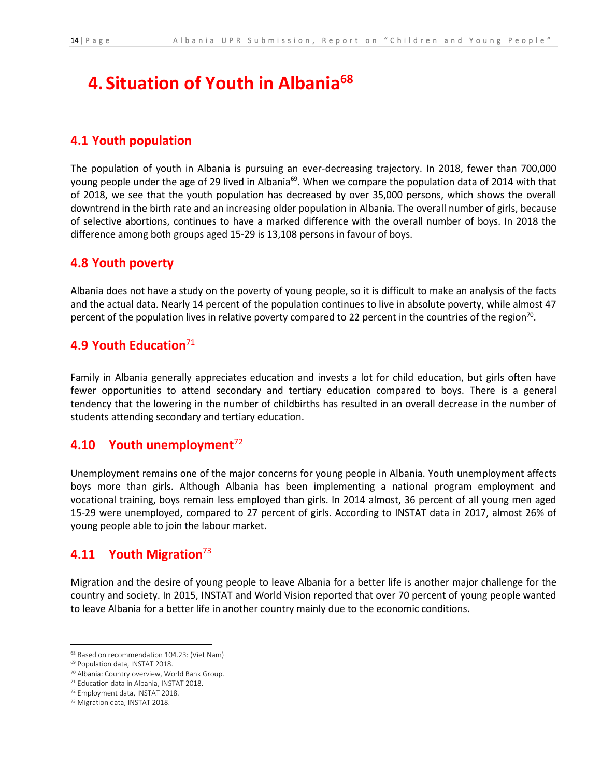# **4. Situation of Youth in Albania<sup>68</sup>**

### **4.1 Youth population**

The population of youth in Albania is pursuing an ever-decreasing trajectory. In 2018, fewer than 700,000 young people under the age of 29 lived in Albania<sup>69</sup>. When we compare the population data of 2014 with that of 2018, we see that the youth population has decreased by over 35,000 persons, which shows the overall downtrend in the birth rate and an increasing older population in Albania. The overall number of girls, because of selective abortions, continues to have a marked difference with the overall number of boys. In 2018 the difference among both groups aged 15-29 is 13,108 persons in favour of boys.

### **4.8 Youth poverty**

Albania does not have a study on the poverty of young people, so it is difficult to make an analysis of the facts and the actual data. Nearly 14 percent of the population continues to live in absolute poverty, while almost 47 percent of the population lives in relative poverty compared to 22 percent in the countries of the region<sup>70</sup>.

## **4.9 Youth Education**<sup>71</sup>

Family in Albania generally appreciates education and invests a lot for child education, but girls often have fewer opportunities to attend secondary and tertiary education compared to boys. There is a general tendency that the lowering in the number of childbirths has resulted in an overall decrease in the number of students attending secondary and tertiary education.

## **4.10 Youth unemployment**<sup>72</sup>

Unemployment remains one of the major concerns for young people in Albania. Youth unemployment affects boys more than girls. Although Albania has been implementing a national program employment and vocational training, boys remain less employed than girls. In 2014 almost, 36 percent of all young men aged 15-29 were unemployed, compared to 27 percent of girls. According to INSTAT data in 2017, almost 26% of young people able to join the labour market.

### **4.11 Youth Migration**<sup>73</sup>

Migration and the desire of young people to leave Albania for a better life is another major challenge for the country and society. In 2015, INSTAT and World Vision reported that over 70 percent of young people wanted to leave Albania for a better life in another country mainly due to the economic conditions.

 $\overline{\phantom{a}}$ 

<sup>68</sup> Based on recommendation 104.23: (Viet Nam)

<sup>69</sup> Population data, INSTAT 2018.

<sup>70</sup> Albania: Country overview, World Bank Group.

<sup>71</sup> Education data in Albania, INSTAT 2018.

<sup>72</sup> Employment data, INSTAT 2018.

<sup>73</sup> Migration data, INSTAT 2018.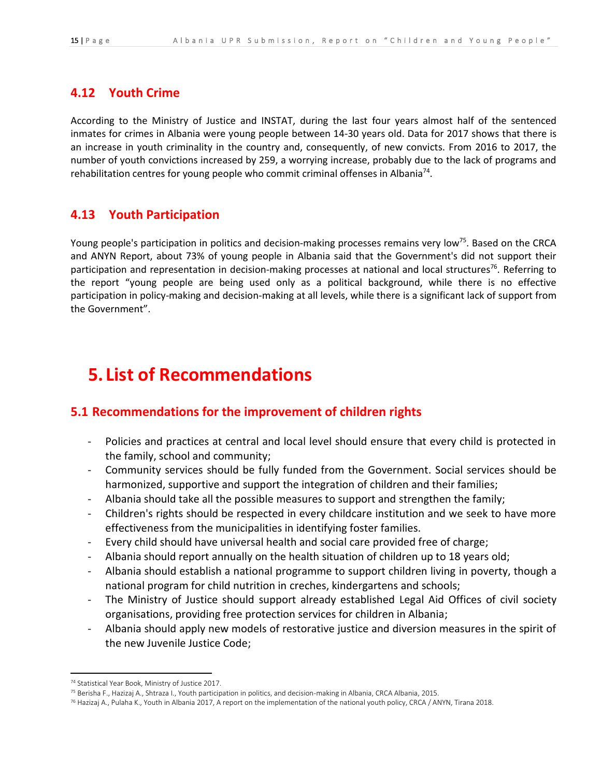## **4.12 Youth Crime**

According to the Ministry of Justice and INSTAT, during the last four years almost half of the sentenced inmates for crimes in Albania were young people between 14-30 years old. Data for 2017 shows that there is an increase in youth criminality in the country and, consequently, of new convicts. From 2016 to 2017, the number of youth convictions increased by 259, a worrying increase, probably due to the lack of programs and rehabilitation centres for young people who commit criminal offenses in Albania<sup>74</sup>.

## **4.13 Youth Participation**

Young people's participation in politics and decision-making processes remains very low<sup>75</sup>. Based on the CRCA and ANYN Report, about 73% of young people in Albania said that the Government's did not support their participation and representation in decision-making processes at national and local structures<sup>76</sup>. Referring to the report "young people are being used only as a political background, while there is no effective participation in policy-making and decision-making at all levels, while there is a significant lack of support from the Government".

# **5. List of Recommendations**

# **5.1 Recommendations for the improvement of children rights**

- Policies and practices at central and local level should ensure that every child is protected in the family, school and community;
- Community services should be fully funded from the Government. Social services should be harmonized, supportive and support the integration of children and their families;
- Albania should take all the possible measures to support and strengthen the family;
- Children's rights should be respected in every childcare institution and we seek to have more effectiveness from the municipalities in identifying foster families.
- Every child should have universal health and social care provided free of charge;
- Albania should report annually on the health situation of children up to 18 years old;
- Albania should establish a national programme to support children living in poverty, though a national program for child nutrition in creches, kindergartens and schools;
- The Ministry of Justice should support already established Legal Aid Offices of civil society organisations, providing free protection services for children in Albania;
- Albania should apply new models of restorative justice and diversion measures in the spirit of the new Juvenile Justice Code;

 $\overline{\phantom{a}}$ <sup>74</sup> Statistical Year Book, Ministry of Justice 2017.

<sup>75</sup> Berisha F., Hazizaj A., Shtraza I., Youth participation in politics, and decision-making in Albania, CRCA Albania, 2015.

<sup>76</sup> Hazizaj A., Pulaha K., Youth in Albania 2017, A report on the implementation of the national youth policy, CRCA / ANYN, Tirana 2018.